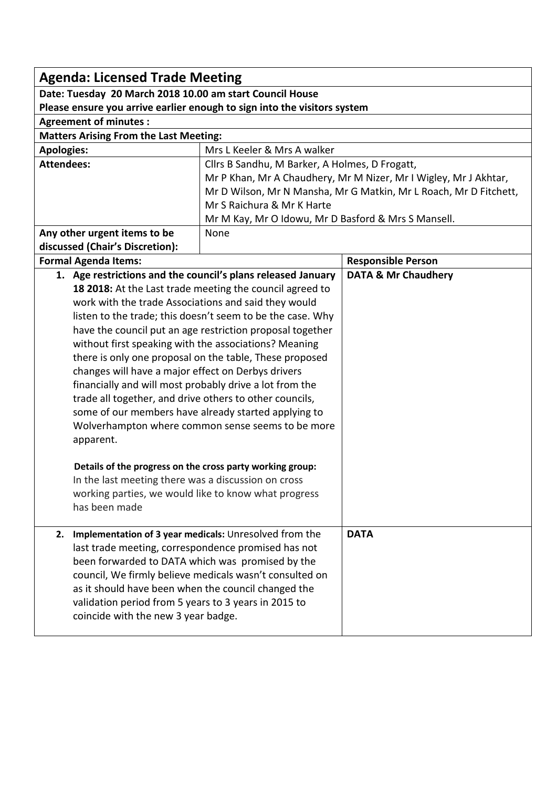| <b>Agenda: Licensed Trade Meeting</b>                                                                       |                                                                                   |                                                                   |  |  |
|-------------------------------------------------------------------------------------------------------------|-----------------------------------------------------------------------------------|-------------------------------------------------------------------|--|--|
| Date: Tuesday 20 March 2018 10.00 am start Council House                                                    |                                                                                   |                                                                   |  |  |
| Please ensure you arrive earlier enough to sign into the visitors system                                    |                                                                                   |                                                                   |  |  |
| <b>Agreement of minutes:</b>                                                                                |                                                                                   |                                                                   |  |  |
| <b>Matters Arising From the Last Meeting:</b>                                                               |                                                                                   |                                                                   |  |  |
| <b>Apologies:</b>                                                                                           | Mrs L Keeler & Mrs A walker                                                       |                                                                   |  |  |
| <b>Attendees:</b>                                                                                           | Cllrs B Sandhu, M Barker, A Holmes, D Frogatt,                                    |                                                                   |  |  |
|                                                                                                             |                                                                                   | Mr P Khan, Mr A Chaudhery, Mr M Nizer, Mr I Wigley, Mr J Akhtar,  |  |  |
|                                                                                                             |                                                                                   | Mr D Wilson, Mr N Mansha, Mr G Matkin, Mr L Roach, Mr D Fitchett, |  |  |
|                                                                                                             | Mr S Raichura & Mr K Harte<br>Mr M Kay, Mr O Idowu, Mr D Basford & Mrs S Mansell. |                                                                   |  |  |
| Any other urgent items to be                                                                                |                                                                                   |                                                                   |  |  |
| discussed (Chair's Discretion):                                                                             | None                                                                              |                                                                   |  |  |
| <b>Formal Agenda Items:</b>                                                                                 |                                                                                   | <b>Responsible Person</b>                                         |  |  |
| 1. Age restrictions and the council's plans released January                                                |                                                                                   | <b>DATA &amp; Mr Chaudhery</b>                                    |  |  |
|                                                                                                             | 18 2018: At the Last trade meeting the council agreed to                          |                                                                   |  |  |
| work with the trade Associations and said they would                                                        |                                                                                   |                                                                   |  |  |
|                                                                                                             | listen to the trade; this doesn't seem to be the case. Why                        |                                                                   |  |  |
|                                                                                                             | have the council put an age restriction proposal together                         |                                                                   |  |  |
| without first speaking with the associations? Meaning                                                       |                                                                                   |                                                                   |  |  |
| there is only one proposal on the table, These proposed                                                     |                                                                                   |                                                                   |  |  |
| changes will have a major effect on Derbys drivers                                                          |                                                                                   |                                                                   |  |  |
| financially and will most probably drive a lot from the                                                     |                                                                                   |                                                                   |  |  |
| trade all together, and drive others to other councils,                                                     |                                                                                   |                                                                   |  |  |
| some of our members have already started applying to                                                        |                                                                                   |                                                                   |  |  |
| Wolverhampton where common sense seems to be more                                                           |                                                                                   |                                                                   |  |  |
| apparent.                                                                                                   |                                                                                   |                                                                   |  |  |
|                                                                                                             |                                                                                   |                                                                   |  |  |
| Details of the progress on the cross party working group:                                                   |                                                                                   |                                                                   |  |  |
| In the last meeting there was a discussion on cross<br>working parties, we would like to know what progress |                                                                                   |                                                                   |  |  |
| has been made                                                                                               |                                                                                   |                                                                   |  |  |
|                                                                                                             |                                                                                   |                                                                   |  |  |
| 2.                                                                                                          | Implementation of 3 year medicals: Unresolved from the                            |                                                                   |  |  |
| last trade meeting, correspondence promised has not                                                         |                                                                                   |                                                                   |  |  |
| been forwarded to DATA which was promised by the                                                            |                                                                                   |                                                                   |  |  |
| council, We firmly believe medicals wasn't consulted on                                                     |                                                                                   |                                                                   |  |  |
| as it should have been when the council changed the                                                         |                                                                                   |                                                                   |  |  |
| validation period from 5 years to 3 years in 2015 to                                                        |                                                                                   |                                                                   |  |  |
| coincide with the new 3 year badge.                                                                         |                                                                                   |                                                                   |  |  |
|                                                                                                             |                                                                                   |                                                                   |  |  |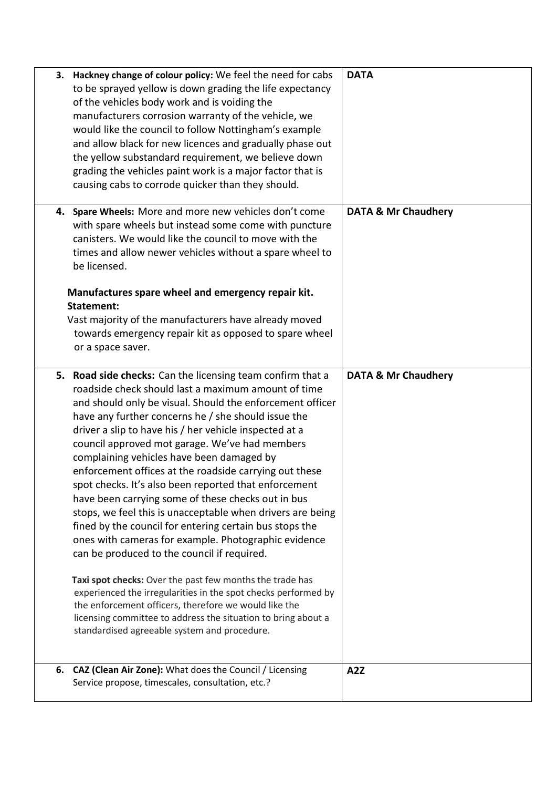| 3. Hackney change of colour policy: We feel the need for cabs<br>to be sprayed yellow is down grading the life expectancy<br>of the vehicles body work and is voiding the<br>manufacturers corrosion warranty of the vehicle, we<br>would like the council to follow Nottingham's example<br>and allow black for new licences and gradually phase out<br>the yellow substandard requirement, we believe down<br>grading the vehicles paint work is a major factor that is<br>causing cabs to corrode quicker than they should.                                                                                                                                                                                                                                                                                                                                                                                                                                                                                                                                                                                  | <b>DATA</b>                    |
|-----------------------------------------------------------------------------------------------------------------------------------------------------------------------------------------------------------------------------------------------------------------------------------------------------------------------------------------------------------------------------------------------------------------------------------------------------------------------------------------------------------------------------------------------------------------------------------------------------------------------------------------------------------------------------------------------------------------------------------------------------------------------------------------------------------------------------------------------------------------------------------------------------------------------------------------------------------------------------------------------------------------------------------------------------------------------------------------------------------------|--------------------------------|
| 4. Spare Wheels: More and more new vehicles don't come<br>with spare wheels but instead some come with puncture<br>canisters. We would like the council to move with the<br>times and allow newer vehicles without a spare wheel to<br>be licensed.<br>Manufactures spare wheel and emergency repair kit.<br><b>Statement:</b><br>Vast majority of the manufacturers have already moved<br>towards emergency repair kit as opposed to spare wheel<br>or a space saver.                                                                                                                                                                                                                                                                                                                                                                                                                                                                                                                                                                                                                                          | <b>DATA &amp; Mr Chaudhery</b> |
| 5. Road side checks: Can the licensing team confirm that a<br>roadside check should last a maximum amount of time<br>and should only be visual. Should the enforcement officer<br>have any further concerns he / she should issue the<br>driver a slip to have his / her vehicle inspected at a<br>council approved mot garage. We've had members<br>complaining vehicles have been damaged by<br>enforcement offices at the roadside carrying out these<br>spot checks. It's also been reported that enforcement<br>have been carrying some of these checks out in bus<br>stops, we feel this is unacceptable when drivers are being<br>fined by the council for entering certain bus stops the<br>ones with cameras for example. Photographic evidence<br>can be produced to the council if required.<br>Taxi spot checks: Over the past few months the trade has<br>experienced the irregularities in the spot checks performed by<br>the enforcement officers, therefore we would like the<br>licensing committee to address the situation to bring about a<br>standardised agreeable system and procedure. | <b>DATA &amp; Mr Chaudhery</b> |
| CAZ (Clean Air Zone): What does the Council / Licensing<br>6.<br>Service propose, timescales, consultation, etc.?                                                                                                                                                                                                                                                                                                                                                                                                                                                                                                                                                                                                                                                                                                                                                                                                                                                                                                                                                                                               | A2Z                            |